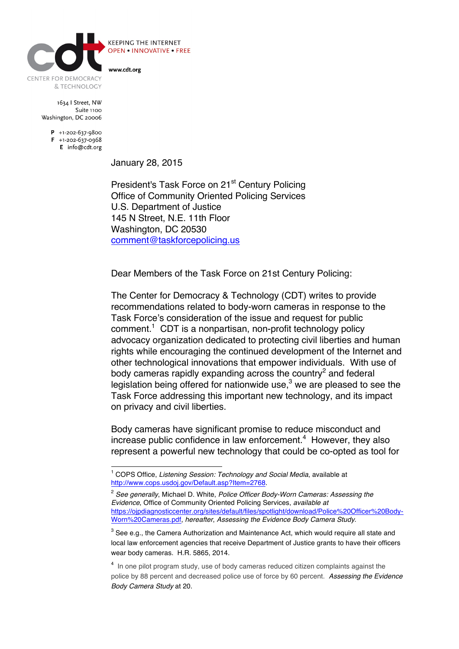

**KEEPING THE INTERNET OPEN • INNOVATIVE • FREE** 

www.cdt.org

1634 | Street, NW Suite 1100 Washington, DC 20006

> $P$  +1-202-637-9800  $F + 1-202-637-0968$ E info@cdt.org

> > January 28, 2015

President's Task Force on 21<sup>st</sup> Century Policing Office of Community Oriented Policing Services U.S. Department of Justice 145 N Street, N.E. 11th Floor Washington, DC 20530 comment@taskforcepolicing.us

Dear Members of the Task Force on 21st Century Policing:

The Center for Democracy & Technology (CDT) writes to provide recommendations related to body-worn cameras in response to the Task Force's consideration of the issue and request for public comment.<sup>1</sup> CDT is a nonpartisan, non-profit technology policy advocacy organization dedicated to protecting civil liberties and human rights while encouraging the continued development of the Internet and other technological innovations that empower individuals. With use of body cameras rapidly expanding across the country<sup>2</sup> and federal legislation being offered for nationwide use, $3$  we are pleased to see the Task Force addressing this important new technology, and its impact on privacy and civil liberties.

Body cameras have significant promise to reduce misconduct and increase public confidence in law enforcement. $4$  However, they also represent a powerful new technology that could be co-opted as tool for

 <sup>1</sup> COPS Office, *Listening Session: Technology and Social Media*, available at http://www.cops.usdoj.gov/Default.asp?Item=2768.

<sup>2</sup> *See generally*, Michael D. White, *Police Officer Body-Worn Cameras: Assessing the Evidence*, Office of Community Oriented Policing Services, *available at* https://ojpdiagnosticcenter.org/sites/default/files/spotlight/download/Police%20Officer%20Body-Worn%20Cameras.pdf, *hereafter*, *Assessing the Evidence Body Camera Study*.

 $3$  See e.g., the Camera Authorization and Maintenance Act, which would require all state and local law enforcement agencies that receive Department of Justice grants to have their officers wear body cameras. H.R. 5865, 2014.

<sup>&</sup>lt;sup>4</sup> In one pilot program study, use of body cameras reduced citizen complaints against the police by 88 percent and decreased police use of force by 60 percent. *Assessing the Evidence Body Camera Study* at 20.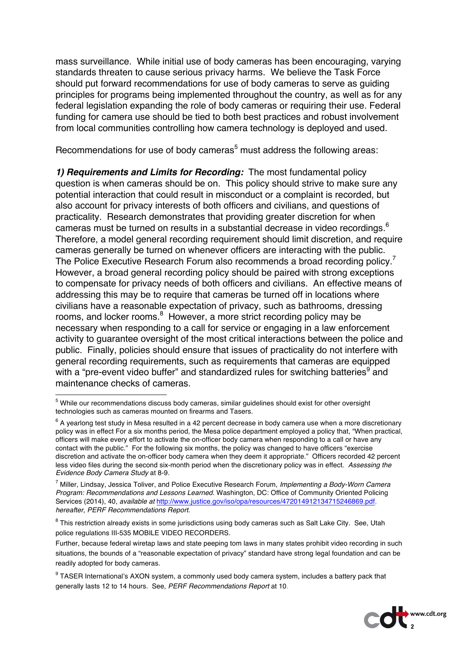mass surveillance. While initial use of body cameras has been encouraging, varying standards threaten to cause serious privacy harms. We believe the Task Force should put forward recommendations for use of body cameras to serve as guiding principles for programs being implemented throughout the country, as well as for any federal legislation expanding the role of body cameras or requiring their use. Federal funding for camera use should be tied to both best practices and robust involvement from local communities controlling how camera technology is deployed and used.

Recommendations for use of body cameras<sup>5</sup> must address the following areas:

*1) Requirements and Limits for Recording:* The most fundamental policy question is when cameras should be on. This policy should strive to make sure any potential interaction that could result in misconduct or a complaint is recorded, but also account for privacy interests of both officers and civilians, and questions of practicality. Research demonstrates that providing greater discretion for when cameras must be turned on results in a substantial decrease in video recordings.<sup>6</sup> Therefore, a model general recording requirement should limit discretion, and require cameras generally be turned on whenever officers are interacting with the public. The Police Executive Research Forum also recommends a broad recording policy.<sup>7</sup> However, a broad general recording policy should be paired with strong exceptions to compensate for privacy needs of both officers and civilians. An effective means of addressing this may be to require that cameras be turned off in locations where civilians have a reasonable expectation of privacy, such as bathrooms, dressing rooms, and locker rooms.<sup>8</sup> However, a more strict recording policy may be necessary when responding to a call for service or engaging in a law enforcement activity to guarantee oversight of the most critical interactions between the police and public. Finally, policies should ensure that issues of practicality do not interfere with general recording requirements, such as requirements that cameras are equipped with a "pre-event video buffer" and standardized rules for switching batteries<sup>9</sup> and maintenance checks of cameras.

<sup>&</sup>lt;sup>9</sup> TASER International's AXON system, a commonly used body camera system, includes a battery pack that generally lasts 12 to 14 hours. See, *PERF Recommendations Report* at 10.



 <sup>5</sup> While our recommendations discuss body cameras, similar guidelines should exist for other oversight technologies such as cameras mounted on firearms and Tasers.

 $6$  A yearlong test study in Mesa resulted in a 42 percent decrease in body camera use when a more discretionary policy was in effect For a six months period, the Mesa police department employed a policy that, "When practical, officers will make every effort to activate the on-officer body camera when responding to a call or have any contact with the public." For the following six months, the policy was changed to have officers "exercise discretion and activate the on-officer body camera when they deem it appropriate." Officers recorded 42 percent less video files during the second six-month period when the discretionary policy was in effect. *Assessing the Evidence Body Camera Study* at 8-9.

<sup>7</sup> Miller, Lindsay, Jessica Toliver, and Police Executive Research Forum, *Implementing a Body-Worn Camera Program: Recommendations and Lessons Learned*. Washington, DC: Office of Community Oriented Policing Services (2014), 40, *available at* http://www.justice.gov/iso/opa/resources/472014912134715246869.pdf, *hereafter*, *PERF Recommendations Report*.

<sup>&</sup>lt;sup>8</sup> This restriction already exists in some jurisdictions using body cameras such as Salt Lake City. See, Utah police regulations III-535 MOBILE VIDEO RECORDERS.

Further, because federal wiretap laws and state peeping tom laws in many states prohibit video recording in such situations, the bounds of a "reasonable expectation of privacy" standard have strong legal foundation and can be readily adopted for body cameras.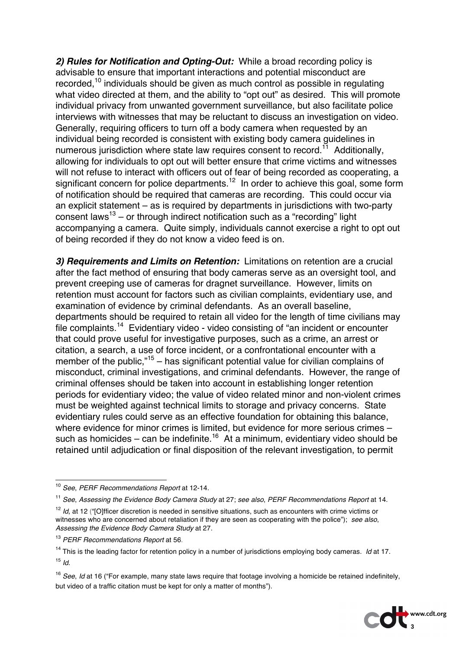*2) Rules for Notification and Opting-Out:* While a broad recording policy is advisable to ensure that important interactions and potential misconduct are recorded,<sup>10</sup> individuals should be given as much control as possible in regulating what video directed at them, and the ability to "opt out" as desired. This will promote individual privacy from unwanted government surveillance, but also facilitate police interviews with witnesses that may be reluctant to discuss an investigation on video. Generally, requiring officers to turn off a body camera when requested by an individual being recorded is consistent with existing body camera guidelines in numerous jurisdiction where state law requires consent to record.<sup>11</sup> Additionally, allowing for individuals to opt out will better ensure that crime victims and witnesses will not refuse to interact with officers out of fear of being recorded as cooperating, a significant concern for police departments.<sup>12</sup> In order to achieve this goal, some form of notification should be required that cameras are recording. This could occur via an explicit statement – as is required by departments in jurisdictions with two-party consent laws<sup>13</sup> – or through indirect notification such as a "recording" light accompanying a camera. Quite simply, individuals cannot exercise a right to opt out of being recorded if they do not know a video feed is on.

*3) Requirements and Limits on Retention:* Limitations on retention are a crucial after the fact method of ensuring that body cameras serve as an oversight tool, and prevent creeping use of cameras for dragnet surveillance. However, limits on retention must account for factors such as civilian complaints, evidentiary use, and examination of evidence by criminal defendants. As an overall baseline, departments should be required to retain all video for the length of time civilians may file complaints.14 Evidentiary video - video consisting of "an incident or encounter that could prove useful for investigative purposes, such as a crime, an arrest or citation, a search, a use of force incident, or a confrontational encounter with a member of the public," $15$  – has significant potential value for civilian complains of misconduct, criminal investigations, and criminal defendants. However, the range of criminal offenses should be taken into account in establishing longer retention periods for evidentiary video; the value of video related minor and non-violent crimes must be weighted against technical limits to storage and privacy concerns. State evidentiary rules could serve as an effective foundation for obtaining this balance, where evidence for minor crimes is limited, but evidence for more serious crimes such as homicides – can be indefinite.<sup>16</sup> At a minimum, evidentiary video should be retained until adjudication or final disposition of the relevant investigation, to permit

<sup>16</sup> *See*, *Id* at 16 ("For example, many state laws require that footage involving a homicide be retained indefinitely, but video of a traffic citation must be kept for only a matter of months").



 <sup>10</sup> *See*, *PERF Recommendations Report* at 12-14.

<sup>11</sup> *See*, *Assessing the Evidence Body Camera Study* at 27; *see also*, *PERF Recommendations Report* at 14.

<sup>&</sup>lt;sup>12</sup> *Id*, at 12 ("[O]fficer discretion is needed in sensitive situations, such as encounters with crime victims or witnesses who are concerned about retaliation if they are seen as cooperating with the police"); *see also*, *Assessing the Evidence Body Camera Study* at 27.

<sup>13</sup> *PERF Recommendations Report* at 56.

<sup>&</sup>lt;sup>14</sup> This is the leading factor for retention policy in a number of jurisdictions employing body cameras. *Id* at 17. <sup>15</sup> *Id*.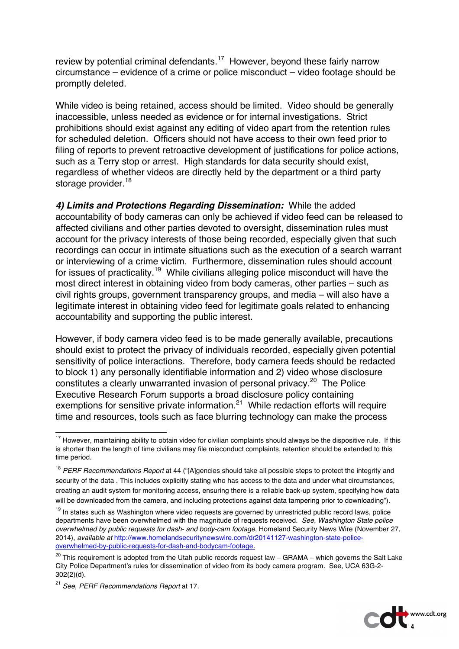review by potential criminal defendants.<sup>17</sup> However, beyond these fairly narrow circumstance – evidence of a crime or police misconduct – video footage should be promptly deleted.

While video is being retained, access should be limited. Video should be generally inaccessible, unless needed as evidence or for internal investigations. Strict prohibitions should exist against any editing of video apart from the retention rules for scheduled deletion. Officers should not have access to their own feed prior to filing of reports to prevent retroactive development of justifications for police actions, such as a Terry stop or arrest. High standards for data security should exist, regardless of whether videos are directly held by the department or a third party storage provider.<sup>18</sup>

*4) Limits and Protections Regarding Dissemination:* While the added accountability of body cameras can only be achieved if video feed can be released to affected civilians and other parties devoted to oversight, dissemination rules must account for the privacy interests of those being recorded, especially given that such recordings can occur in intimate situations such as the execution of a search warrant or interviewing of a crime victim. Furthermore, dissemination rules should account for issues of practicality.<sup>19</sup> While civilians alleging police misconduct will have the most direct interest in obtaining video from body cameras, other parties – such as civil rights groups, government transparency groups, and media – will also have a legitimate interest in obtaining video feed for legitimate goals related to enhancing accountability and supporting the public interest.

However, if body camera video feed is to be made generally available, precautions should exist to protect the privacy of individuals recorded, especially given potential sensitivity of police interactions. Therefore, body camera feeds should be redacted to block 1) any personally identifiable information and 2) video whose disclosure constitutes a clearly unwarranted invasion of personal privacy.<sup>20</sup> The Police Executive Research Forum supports a broad disclosure policy containing exemptions for sensitive private information.<sup>21</sup> While redaction efforts will require time and resources, tools such as face blurring technology can make the process



<sup>&</sup>lt;sup>17</sup> However, maintaining ability to obtain video for civilian complaints should always be the dispositive rule. If this is shorter than the length of time civilians may file misconduct complaints, retention should be extended to this time period.

<sup>18</sup> *PERF Recommendations Report* at 44 ("[A]gencies should take all possible steps to protect the integrity and security of the data . This includes explicitly stating who has access to the data and under what circumstances, creating an audit system for monitoring access, ensuring there is a reliable back-up system, specifying how data will be downloaded from the camera, and including protections against data tampering prior to downloading").

<sup>&</sup>lt;sup>19</sup> In states such as Washington where video requests are governed by unrestricted public record laws, police departments have been overwhelmed with the magnitude of requests received. *See*, *Washington State police overwhelmed by public requests for dash- and body-cam footage*, Homeland Security News Wire (November 27, 2014), *available at* http://www.homelandsecuritynewswire.com/dr20141127-washington-state-policeoverwhelmed-by-public-requests-for-dash-and-bodycam-footage.

 $20$  This requirement is adopted from the Utah public records request law – GRAMA – which governs the Salt Lake City Police Department's rules for dissemination of video from its body camera program. See, UCA 63G-2- 302(2)(d).

<sup>21</sup> *See*, *PERF Recommendations Report* at 17.